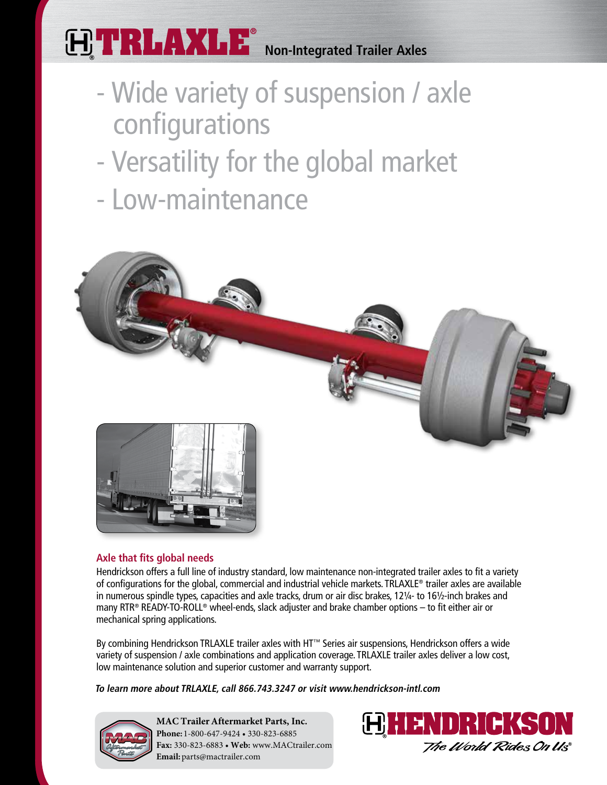# **TRLAXLE® Non-Integrated Trailer Axles**

- Wide variety of suspension / axle configurations
- Versatility for the global market
- Low-maintenance



## **Axle that fits global needs**

Hendrickson offers a full line of industry standard, low maintenance non-integrated trailer axles to fit a variety of configurations for the global, commercial and industrial vehicle markets. TRLAXLE® trailer axles are available in numerous spindle types, capacities and axle tracks, drum or air disc brakes, 12¼- to 16½-inch brakes and many RTR® READY-TO-ROLL® wheel-ends, slack adjuster and brake chamber options – to fit either air or mechanical spring applications.

By combining Hendrickson TRLAXLE trailer axles with HT™ Series air suspensions, Hendrickson offers a wide variety of suspension / axle combinations and application coverage. TRLAXLE trailer axles deliver a low cost, low maintenance solution and superior customer and warranty support.

**To learn more about TRLAXLE, call 866.743.3247 or visit www.hendrickson-intl.com**



**MAC Trailer Aftermarket Parts, Inc. Phone:** 1-800-647-9424 • 330-823-6885 **Fax:** 330-823-6883 • **Web:** www.MACtrailer.com **Email:** parts@mactrailer.com